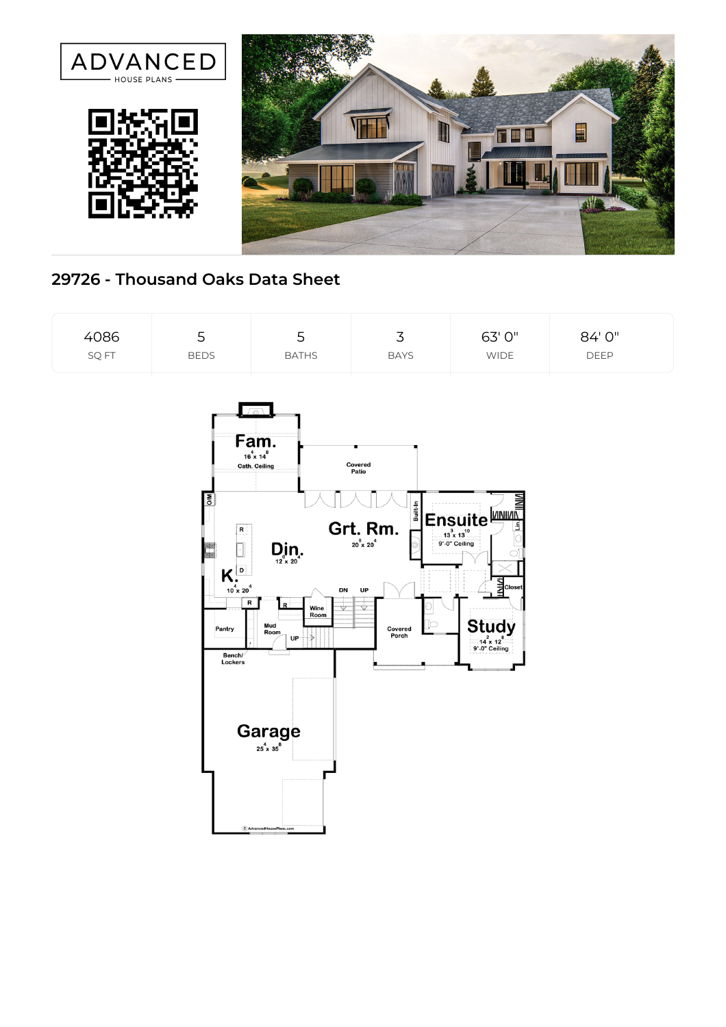

## **29726 - Thousand Oaks Data Sheet**

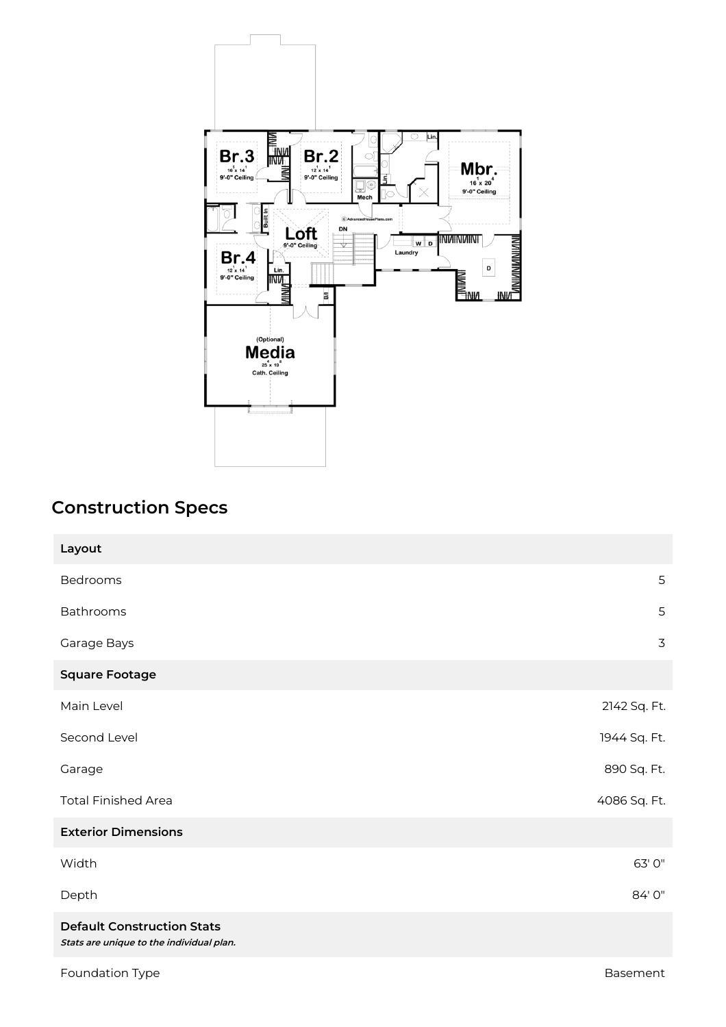

## **Construction Specs**

| Layout                                                                        |              |
|-------------------------------------------------------------------------------|--------------|
| Bedrooms                                                                      | 5            |
| Bathrooms                                                                     | 5            |
| Garage Bays                                                                   | 3            |
| <b>Square Footage</b>                                                         |              |
| Main Level                                                                    | 2142 Sq. Ft. |
| Second Level                                                                  | 1944 Sq. Ft. |
| Garage                                                                        | 890 Sq. Ft.  |
| <b>Total Finished Area</b>                                                    | 4086 Sq. Ft. |
| <b>Exterior Dimensions</b>                                                    |              |
| Width                                                                         | 63' 0"       |
| Depth                                                                         | 84'0"        |
| <b>Default Construction Stats</b><br>Stats are unique to the individual plan. |              |